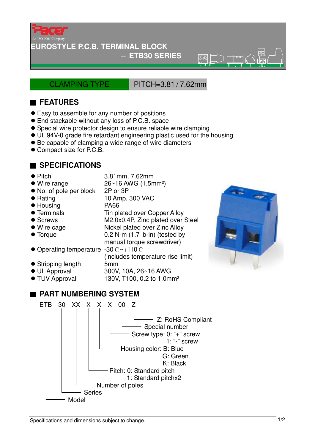

### **EUROSTYLE P.C.B. TERMINAL BLOCK**

#### − **ETB30 SERIES**

CLAMPING TYPE PITCH=3.81 / 7.62mm

 $\overline{\mathcal{B}(\mathbb{C})}$ 

## ■ **FEATURES**

- Easy to assemble for any number of positions
- End stackable without any loss of P.C.B. space
- Special wire protector design to ensure reliable wire clamping
- UL 94V-0 grade fire retardant engineering plastic used for the housing
- Be capable of clamping a wide range of wire diameters
- Compact size for P.C.B.

### ■ **SPECIFICATIONS**

- 
- Pitch 3.81mm, 7.62mm

manual torque screwdriver)

130V, T100, 0.2 to 1.0mm<sup>2</sup>

(includes temperature rise limit)

- $\bullet$  Wire range  $26~16$  AWG (1.5mm<sup>2</sup>)
- No. of pole per block 2P or 3P
- Rating 10 Amp, 300 VAC
- Housing PA66
- Terminals Tin plated over Copper Alloy
- Screws M2.0x0.4P, Zinc plated over Steel
- Wire cage Nickel plated over Zinc Alloy
- Torque 0.2 N-m (1.7 lb-in) (tested by
- Operating temperature -30°C~+110°C
- Stripping length 5mm
- 
- UL Approval 300V, 10A, 26~16 AWG<br>● TUV Approval 130V, T100, 0.2 to 1.0m

# ■ **PART NUMBERING SYSTEM**